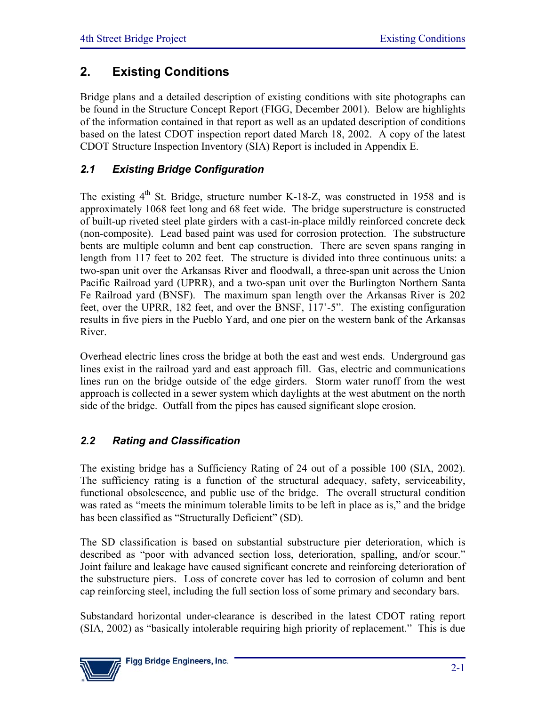# **2. Existing Conditions**

Bridge plans and a detailed description of existing conditions with site photographs can be found in the Structure Concept Report (FIGG, December 2001). Below are highlights of the information contained in that report as well as an updated description of conditions based on the latest CDOT inspection report dated March 18, 2002. A copy of the latest CDOT Structure Inspection Inventory (SIA) Report is included in Appendix E.

## *2.1 Existing Bridge Configuration*

The existing  $4<sup>th</sup>$  St. Bridge, structure number K-18-Z, was constructed in 1958 and is approximately 1068 feet long and 68 feet wide. The bridge superstructure is constructed of built-up riveted steel plate girders with a cast-in-place mildly reinforced concrete deck (non-composite). Lead based paint was used for corrosion protection. The substructure bents are multiple column and bent cap construction. There are seven spans ranging in length from 117 feet to 202 feet. The structure is divided into three continuous units: a two-span unit over the Arkansas River and floodwall, a three-span unit across the Union Pacific Railroad yard (UPRR), and a two-span unit over the Burlington Northern Santa Fe Railroad yard (BNSF). The maximum span length over the Arkansas River is 202 feet, over the UPRR, 182 feet, and over the BNSF, 117'-5". The existing configuration results in five piers in the Pueblo Yard, and one pier on the western bank of the Arkansas River.

Overhead electric lines cross the bridge at both the east and west ends. Underground gas lines exist in the railroad yard and east approach fill. Gas, electric and communications lines run on the bridge outside of the edge girders. Storm water runoff from the west approach is collected in a sewer system which daylights at the west abutment on the north side of the bridge. Outfall from the pipes has caused significant slope erosion.

# *2.2 Rating and Classification*

The existing bridge has a Sufficiency Rating of 24 out of a possible 100 (SIA, 2002). The sufficiency rating is a function of the structural adequacy, safety, serviceability, functional obsolescence, and public use of the bridge. The overall structural condition was rated as "meets the minimum tolerable limits to be left in place as is," and the bridge has been classified as "Structurally Deficient" (SD).

The SD classification is based on substantial substructure pier deterioration, which is described as "poor with advanced section loss, deterioration, spalling, and/or scour." Joint failure and leakage have caused significant concrete and reinforcing deterioration of the substructure piers. Loss of concrete cover has led to corrosion of column and bent cap reinforcing steel, including the full section loss of some primary and secondary bars.

Substandard horizontal under-clearance is described in the latest CDOT rating report (SIA, 2002) as "basically intolerable requiring high priority of replacement." This is due

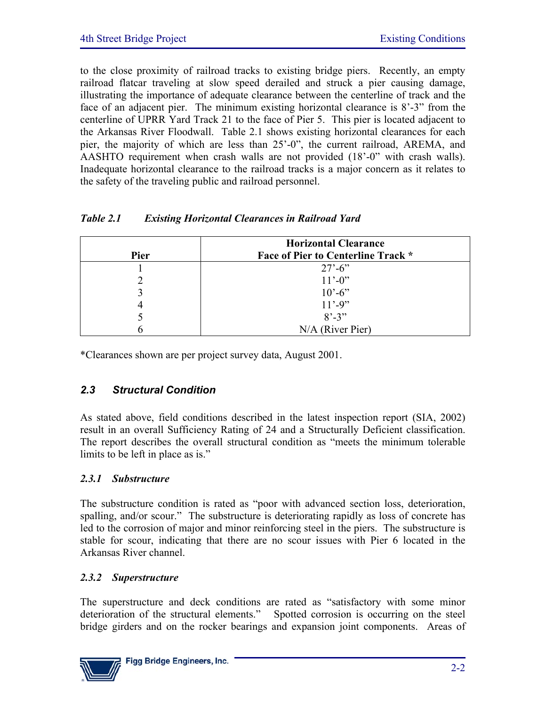to the close proximity of railroad tracks to existing bridge piers. Recently, an empty railroad flatcar traveling at slow speed derailed and struck a pier causing damage, illustrating the importance of adequate clearance between the centerline of track and the face of an adjacent pier. The minimum existing horizontal clearance is 8'-3" from the centerline of UPRR Yard Track 21 to the face of Pier 5. This pier is located adjacent to the Arkansas River Floodwall. Table 2.1 shows existing horizontal clearances for each pier, the majority of which are less than 25'-0", the current railroad, AREMA, and AASHTO requirement when crash walls are not provided (18'-0" with crash walls). Inadequate horizontal clearance to the railroad tracks is a major concern as it relates to the safety of the traveling public and railroad personnel.

## *Table 2.1 Existing Horizontal Clearances in Railroad Yard*

| Pier | <b>Horizontal Clearance</b><br><b>Face of Pier to Centerline Track *</b> |  |  |
|------|--------------------------------------------------------------------------|--|--|
|      | $27' - 6'$                                                               |  |  |
|      | $11' - 0'$                                                               |  |  |
|      | $10^{\circ} - 6^{\circ}$                                                 |  |  |
|      | $11' - 9''$                                                              |  |  |
|      | $8' - 3''$                                                               |  |  |
|      | N/A (River Pier)                                                         |  |  |

\*Clearances shown are per project survey data, August 2001.

## *2.3 Structural Condition*

As stated above, field conditions described in the latest inspection report (SIA, 2002) result in an overall Sufficiency Rating of 24 and a Structurally Deficient classification. The report describes the overall structural condition as "meets the minimum tolerable limits to be left in place as is."

## *2.3.1 Substructure*

The substructure condition is rated as "poor with advanced section loss, deterioration, spalling, and/or scour." The substructure is deteriorating rapidly as loss of concrete has led to the corrosion of major and minor reinforcing steel in the piers. The substructure is stable for scour, indicating that there are no scour issues with Pier 6 located in the Arkansas River channel.

#### *2.3.2 Superstructure*

The superstructure and deck conditions are rated as "satisfactory with some minor deterioration of the structural elements." Spotted corrosion is occurring on the steel bridge girders and on the rocker bearings and expansion joint components. Areas of

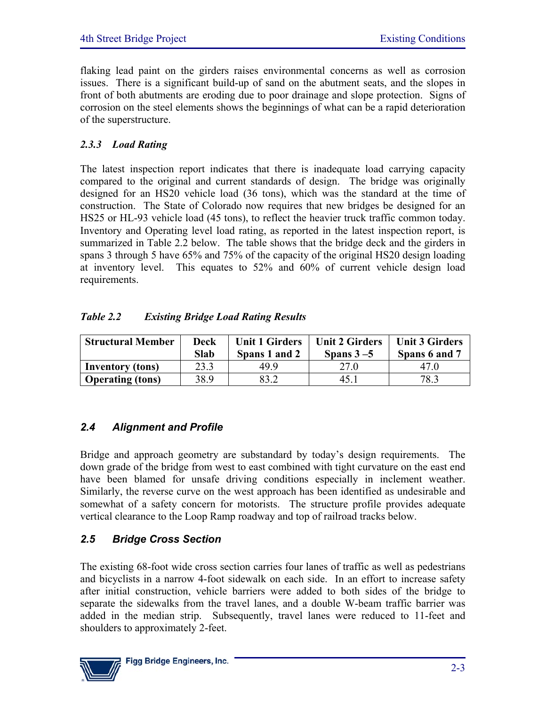flaking lead paint on the girders raises environmental concerns as well as corrosion issues. There is a significant build-up of sand on the abutment seats, and the slopes in front of both abutments are eroding due to poor drainage and slope protection. Signs of corrosion on the steel elements shows the beginnings of what can be a rapid deterioration of the superstructure.

## *2.3.3 Load Rating*

The latest inspection report indicates that there is inadequate load carrying capacity compared to the original and current standards of design. The bridge was originally designed for an HS20 vehicle load (36 tons), which was the standard at the time of construction. The State of Colorado now requires that new bridges be designed for an HS25 or HL-93 vehicle load (45 tons), to reflect the heavier truck traffic common today. Inventory and Operating level load rating, as reported in the latest inspection report, is summarized in Table 2.2 below. The table shows that the bridge deck and the girders in spans 3 through 5 have 65% and 75% of the capacity of the original HS20 design loading at inventory level. This equates to 52% and 60% of current vehicle design load requirements.

## *Table 2.2 Existing Bridge Load Rating Results*

| <b>Structural Member</b> | Deck<br><b>Slab</b> | <b>Unit 1 Girders</b><br>Spans 1 and 2 | <b>Unit 2 Girders</b><br>Spans $3-5$ | <b>Unit 3 Girders</b><br>Spans 6 and 7 |
|--------------------------|---------------------|----------------------------------------|--------------------------------------|----------------------------------------|
| <b>Inventory</b> (tons)  | 23.3                | 499                                    | 27.0                                 | 47 O                                   |
| <b>Operating (tons)</b>  | 38.9                |                                        | 45. I                                | 78.3                                   |

## *2.4 Alignment and Profile*

Bridge and approach geometry are substandard by today's design requirements. The down grade of the bridge from west to east combined with tight curvature on the east end have been blamed for unsafe driving conditions especially in inclement weather. Similarly, the reverse curve on the west approach has been identified as undesirable and somewhat of a safety concern for motorists. The structure profile provides adequate vertical clearance to the Loop Ramp roadway and top of railroad tracks below.

## *2.5 Bridge Cross Section*

The existing 68-foot wide cross section carries four lanes of traffic as well as pedestrians and bicyclists in a narrow 4-foot sidewalk on each side. In an effort to increase safety after initial construction, vehicle barriers were added to both sides of the bridge to separate the sidewalks from the travel lanes, and a double W-beam traffic barrier was added in the median strip. Subsequently, travel lanes were reduced to 11-feet and shoulders to approximately 2-feet.

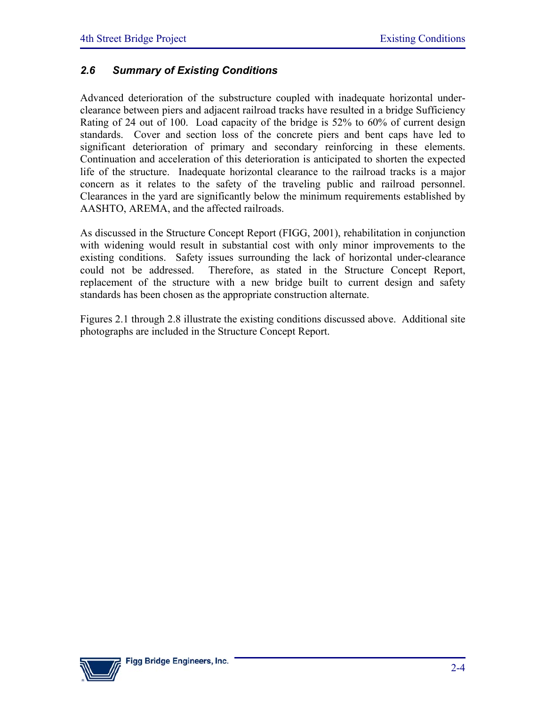## *2.6 Summary of Existing Conditions*

Advanced deterioration of the substructure coupled with inadequate horizontal underclearance between piers and adjacent railroad tracks have resulted in a bridge Sufficiency Rating of 24 out of 100. Load capacity of the bridge is 52% to 60% of current design standards. Cover and section loss of the concrete piers and bent caps have led to significant deterioration of primary and secondary reinforcing in these elements. Continuation and acceleration of this deterioration is anticipated to shorten the expected life of the structure. Inadequate horizontal clearance to the railroad tracks is a major concern as it relates to the safety of the traveling public and railroad personnel. Clearances in the yard are significantly below the minimum requirements established by AASHTO, AREMA, and the affected railroads.

As discussed in the Structure Concept Report (FIGG, 2001), rehabilitation in conjunction with widening would result in substantial cost with only minor improvements to the existing conditions. Safety issues surrounding the lack of horizontal under-clearance could not be addressed. Therefore, as stated in the Structure Concept Report, replacement of the structure with a new bridge built to current design and safety standards has been chosen as the appropriate construction alternate.

Figures 2.1 through 2.8 illustrate the existing conditions discussed above. Additional site photographs are included in the Structure Concept Report.

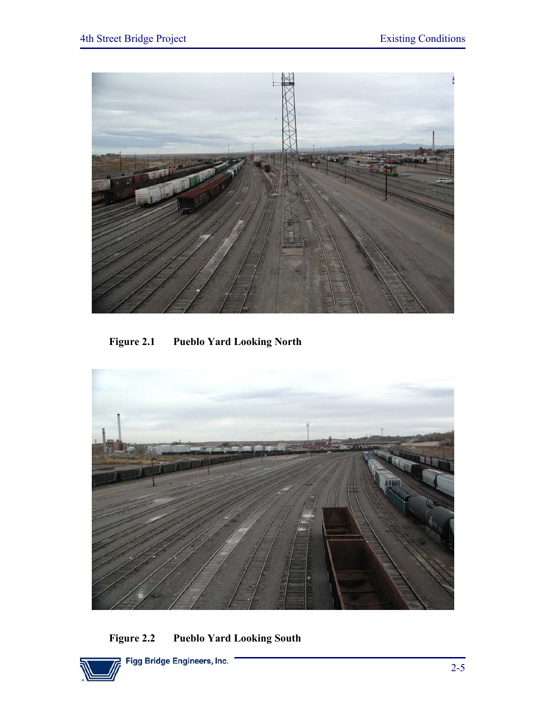

**Figure 2.1 Pueblo Yard Looking North** 



**Figure 2.2 Pueblo Yard Looking South** 

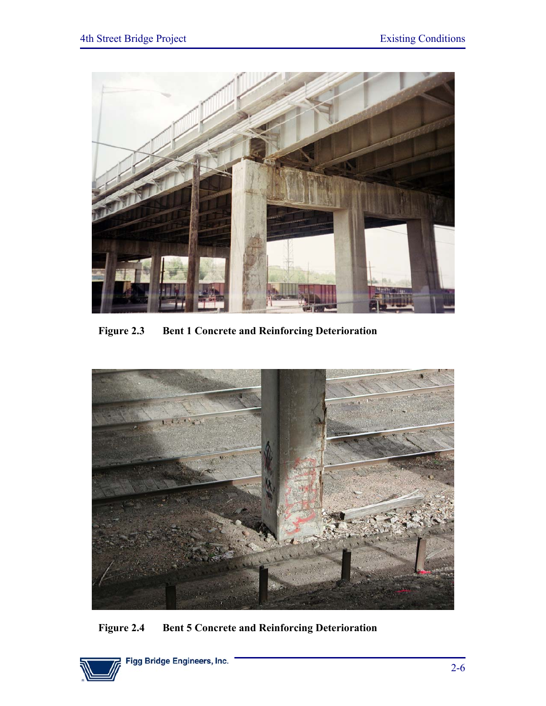

**Figure 2.3 Bent 1 Concrete and Reinforcing Deterioration** 



**Figure 2.4 Bent 5 Concrete and Reinforcing Deterioration** 

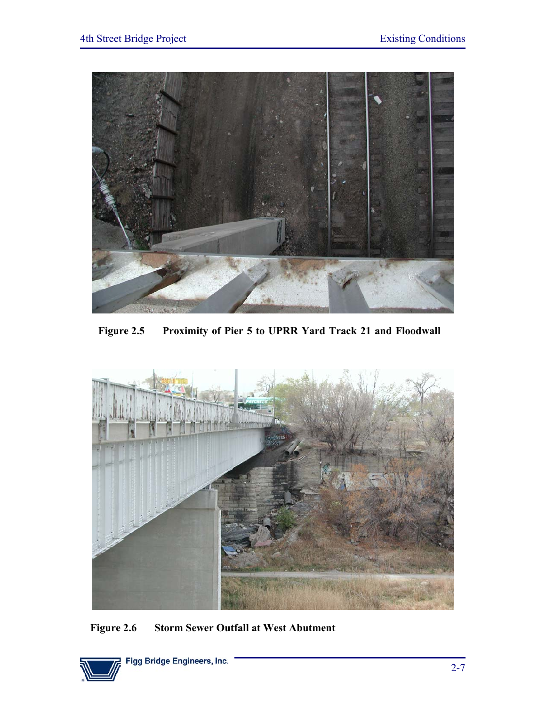

**Figure 2.5 Proximity of Pier 5 to UPRR Yard Track 21 and Floodwall**



**Figure 2.6 Storm Sewer Outfall at West Abutment**